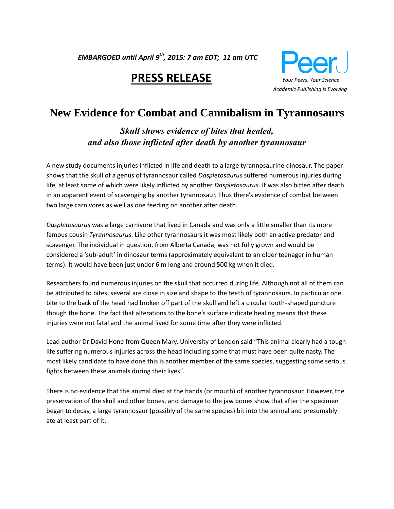*EMBARGOED until April 9 th, 2015: 7 am EDT; 11 am UTC* 

# **PRESS RELEASE** *Your Peers, Your Science*



# **New Evidence for Combat and Cannibalism in Tyrannosaurs**

*Skull shows evidence of bites that healed, and also those inflicted after death by another tyrannosaur*

A new study documents injuries inflicted in life and death to a large tyrannosaurine dinosaur. The paper shows that the skull of a genus of tyrannosaur called *Daspletosaurus* suffered numerous injuries during life, at least some of which were likely inflicted by another *Daspletosaurus*. It was also bitten after death in an apparent event of scavenging by another tyrannosaur. Thus there's evidence of combat between two large carnivores as well as one feeding on another after death.

*Daspletosaurus* was a large carnivore that lived in Canada and was only a little smaller than its more famous cousin *Tyrannosaurus*. Like other tyrannosaurs it was most likely both an active predator and scavenger. The individual in question, from Alberta Canada, was not fully grown and would be considered a 'sub-adult' in dinosaur terms (approximately equivalent to an older teenager in human terms). It would have been just under 6 m long and around 500 kg when it died.

Researchers found numerous injuries on the skull that occurred during life. Although not all of them can be attributed to bites, several are close in size and shape to the teeth of tyrannosaurs. In particular one bite to the back of the head had broken off part of the skull and left a circular tooth-shaped puncture though the bone. The fact that alterations to the bone's surface indicate healing means that these injuries were not fatal and the animal lived for some time after they were inflicted.

Lead author Dr David Hone from Queen Mary, University of London said "This animal clearly had a tough life suffering numerous injuries across the head including some that must have been quite nasty. The most likely candidate to have done this is another member of the same species, suggesting some serious fights between these animals during their lives".

There is no evidence that the animal died at the hands (or mouth) of another tyrannosaur. However, the preservation of the skull and other bones, and damage to the jaw bones show that after the specimen began to decay, a large tyrannosaur (possibly of the same species) bit into the animal and presumably ate at least part of it.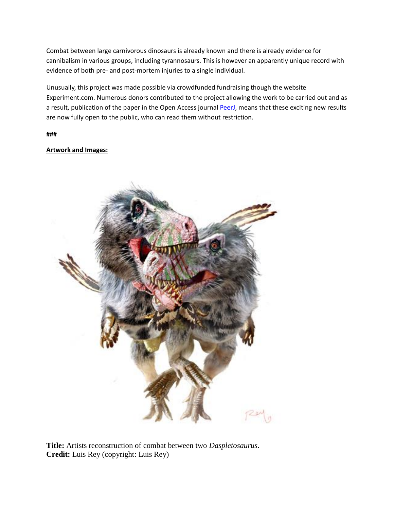Combat between large carnivorous dinosaurs is already known and there is already evidence for cannibalism in various groups, including tyrannosaurs. This is however an apparently unique record with evidence of both pre- and post-mortem injuries to a single individual.

Unusually, this project was made possible via crowdfunded fundraising though the website Experiment.com. Numerous donors contributed to the project allowing the work to be carried out and as a result, publication of the paper in the Open Access journal [PeerJ,](https://peerj.com/) means that these exciting new results are now fully open to the public, who can read them without restriction.

**###** 

## **Artwork and Images:**



**Title:** Artists reconstruction of combat between two *Daspletosaurus*. **Credit:** Luis Rey (copyright: Luis Rey)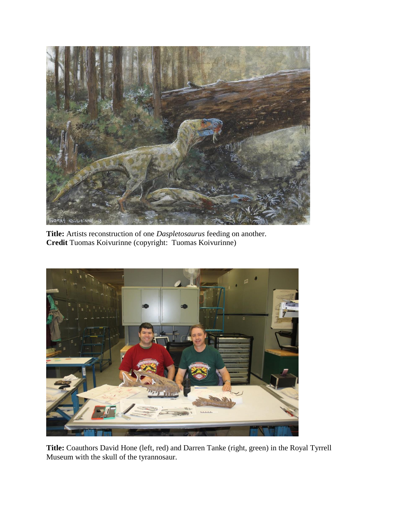

**Title:** Artists reconstruction of one *Daspletosaurus* feeding on another. **Credit** Tuomas Koivurinne (copyright: Tuomas Koivurinne)



**Title:** Coauthors David Hone (left, red) and Darren Tanke (right, green) in the Royal Tyrrell Museum with the skull of the tyrannosaur.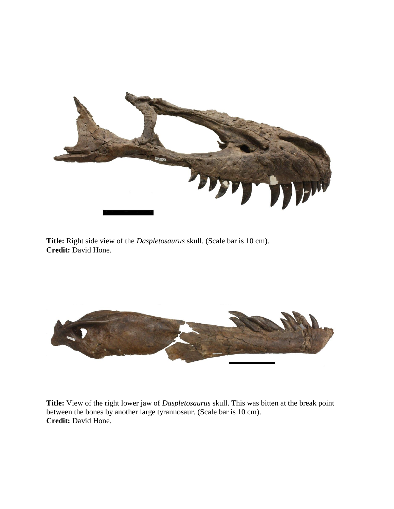

**Title:** Right side view of the *Daspletosaurus* skull. (Scale bar is 10 cm). **Credit:** David Hone.



**Title:** View of the right lower jaw of *Daspletosaurus* skull. This was bitten at the break point between the bones by another large tyrannosaur. (Scale bar is 10 cm). **Credit:** David Hone.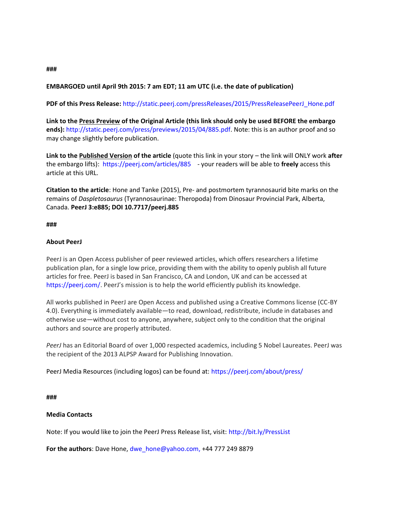## **EMBARGOED until April 9th 2015: 7 am EDT; 11 am UTC (i.e. the date of publication)**

**PDF of this Press Release:** [http://static.peerj.com/pressReleases/2015/PressReleasePeerJ\\_Hone.pdf](http://static.peerj.com/pressReleases/2015/PressReleasePeerJ_Hone.pdf)

**Link to the Press Preview of the Original Article (this link should only be used BEFORE the embargo ends):** [http://static.peerj.com/press/previews/2015/04/885.pdf.](http://static.peerj.com/press/previews/2015/04/885.pdf) Note: this is an author proof and so may change slightly before publication.

**Link to the Published Version of the article** (quote this link in your story – the link will ONLY work **after** the embargo lifts):<https://peerj.com/articles/885> - your readers will be able to **freely** access this article at this URL.

**Citation to the article**: Hone and Tanke (2015), Pre- and postmortem tyrannosaurid bite marks on the remains of *Daspletosaurus* (Tyrannosaurinae: Theropoda) from Dinosaur Provincial Park, Alberta, Canada. **PeerJ 3:e885; DOI 10.7717/peerj.885**

**###**

## **About PeerJ**

PeerJ is an Open Access publisher of peer reviewed articles, which offers researchers a lifetime publication plan, for a single low price, providing them with the ability to openly publish all future articles for free. PeerJ is based in San Francisco, CA and London, UK and can be accessed at <https://peerj.com/>. PeerJ's mission is to help the world efficiently publish its knowledge.

All works published in PeerJ are Open Access and published using a Creative Commons license (CC-BY 4.0). Everything is immediately available—to read, download, redistribute, include in databases and otherwise use—without cost to anyone, anywhere, subject only to the condition that the original authors and source are properly attributed.

*PeerJ* has an Editorial Board of over 1,000 respected academics, including 5 Nobel Laureates. PeerJ was the recipient of the 2013 ALPSP Award for Publishing Innovation.

PeerJ Media Resources (including logos) can be found at:<https://peerj.com/about/press/>

**###**

### **Media Contacts**

Note: If you would like to join the PeerJ Press Release list, visit:<http://bit.ly/PressList>

**For the authors**: Dave Hone, [dwe\\_hone@yahoo.com,](mailto:dwe_hone@yahoo.com) +44 777 249 8879

**###**